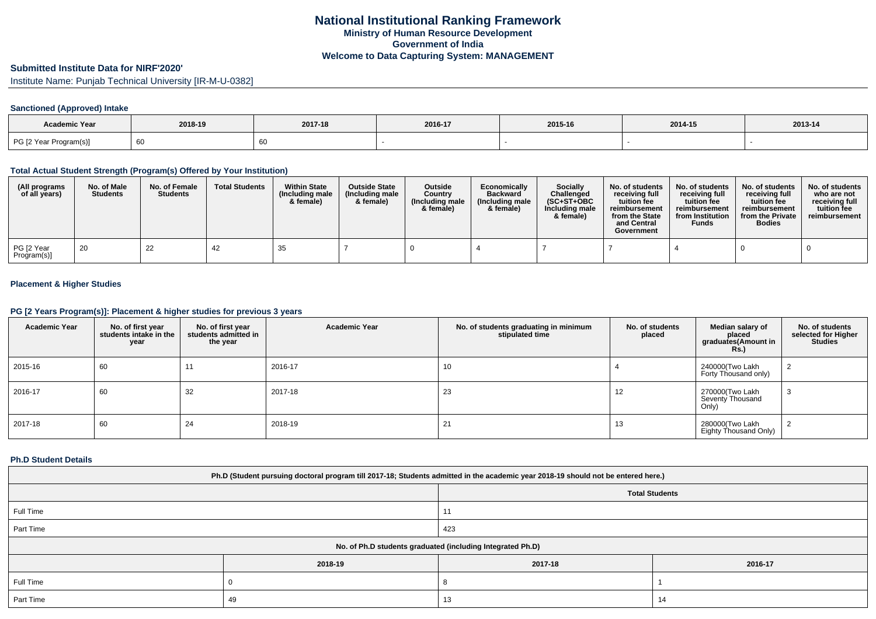# **Submitted Institute Data for NIRF'2020'**

Institute Name: Punjab Technical University [IR-M-U-0382]

## **Sanctioned (Approved) Intake**

| Academic Year          |         |         |         |         |         |         |
|------------------------|---------|---------|---------|---------|---------|---------|
|                        | 2018-19 | 2017-18 | 2016-17 | 2015-16 | 2014-15 | 2013-14 |
| PG [2 Year Program(s)] | 60      |         |         |         |         |         |

### **Total Actual Student Strength (Program(s) Offered by Your Institution)**

| (All programs<br>of all years) | No. of Male<br><b>Students</b> | No. of Female<br><b>Students</b> | <b>Total Students</b> | <b>Within State</b><br>(Including male<br>& female) | <b>Outside State</b><br>(Including male<br>& female) | <b>Outside</b><br>Country<br>(Including male<br>& female) | Economically<br><b>Backward</b><br>(Including male<br>& female) | Socially<br>Challenged<br>$(SC+ST+OBC)$<br>Including male<br>& female) | No. of students<br>receiving full<br>tuition fee<br>reimbursement<br>from the State<br>and Central<br>Government | No. of students<br>receiving full<br>tuition fee<br>reimbursement<br>from Institution<br><b>Funds</b> | No. of students<br>receiving full<br>tuition fee<br>reimbursement<br>from the Private<br><b>Bodies</b> | No. of students<br>who are not<br>receiving full<br>tuition fee<br>reimbursement |
|--------------------------------|--------------------------------|----------------------------------|-----------------------|-----------------------------------------------------|------------------------------------------------------|-----------------------------------------------------------|-----------------------------------------------------------------|------------------------------------------------------------------------|------------------------------------------------------------------------------------------------------------------|-------------------------------------------------------------------------------------------------------|--------------------------------------------------------------------------------------------------------|----------------------------------------------------------------------------------|
| PG [2 Year<br>Program(s)]      | 20                             | 22                               | -42                   | 35                                                  |                                                      |                                                           |                                                                 |                                                                        |                                                                                                                  |                                                                                                       |                                                                                                        |                                                                                  |

## **Placement & Higher Studies**

### **PG [2 Years Program(s)]: Placement & higher studies for previous 3 years**

| <b>Academic Year</b> | No. of first year<br>students intake in the<br>year | No. of first year<br>students admitted in<br>the year | <b>Academic Year</b> | No. of students graduating in minimum<br>stipulated time | No. of students<br>placed | Median salary of<br>placed<br>graduates(Amount in<br><b>Rs.)</b> | No. of students<br>selected for Higher<br><b>Studies</b> |
|----------------------|-----------------------------------------------------|-------------------------------------------------------|----------------------|----------------------------------------------------------|---------------------------|------------------------------------------------------------------|----------------------------------------------------------|
| 2015-16              | 60                                                  |                                                       | 2016-17              | 10                                                       |                           | 240000(Two Lakh<br>Forty Thousand only)                          |                                                          |
| 2016-17              | 60                                                  | 32                                                    | 2017-18              | 23                                                       | 12                        | 270000(Two Lakh<br>Seventy Thousand<br>Only)                     | ა                                                        |
| 2017-18              | 60                                                  | 24                                                    | 2018-19              | 21                                                       | 13                        | 280000(Two Lakh<br>Eighty Thousand Only)                         |                                                          |

### **Ph.D Student Details**

| Ph.D (Student pursuing doctoral program till 2017-18; Students admitted in the academic year 2018-19 should not be entered here.) |         |                       |         |  |
|-----------------------------------------------------------------------------------------------------------------------------------|---------|-----------------------|---------|--|
|                                                                                                                                   |         | <b>Total Students</b> |         |  |
| Full Time                                                                                                                         |         | 11                    |         |  |
| Part Time                                                                                                                         |         | 423                   |         |  |
| No. of Ph.D students graduated (including Integrated Ph.D)                                                                        |         |                       |         |  |
|                                                                                                                                   | 2018-19 | 2017-18               | 2016-17 |  |
| Full Time                                                                                                                         |         |                       |         |  |
| Part Time                                                                                                                         | 49      | 13                    | 14      |  |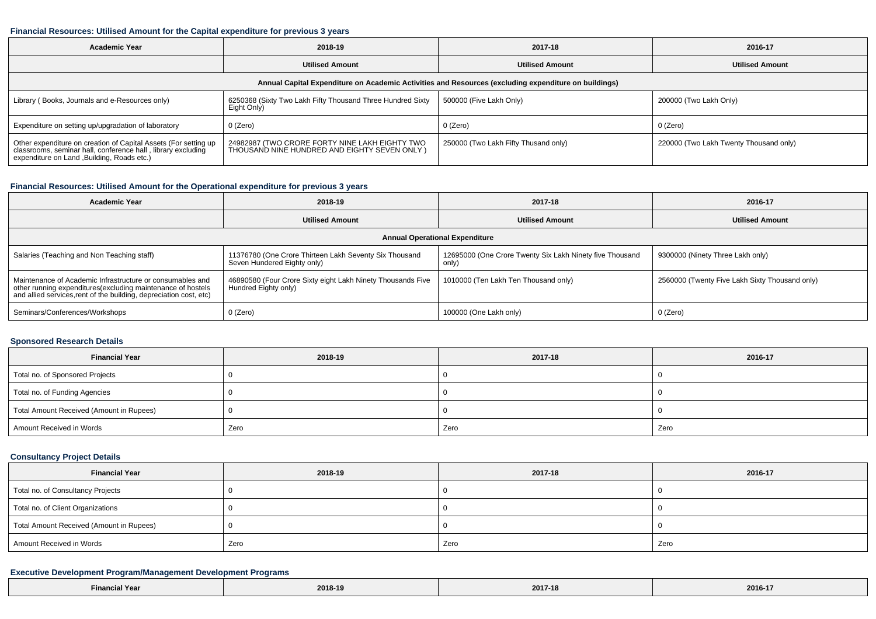#### **Financial Resources: Utilised Amount for the Capital expenditure for previous 3 years**

| <b>Academic Year</b>                                                                                                                                                           | 2018-19                                                                                         | 2017-18                              | 2016-17                                |  |  |
|--------------------------------------------------------------------------------------------------------------------------------------------------------------------------------|-------------------------------------------------------------------------------------------------|--------------------------------------|----------------------------------------|--|--|
|                                                                                                                                                                                | <b>Utilised Amount</b>                                                                          | <b>Utilised Amount</b>               | <b>Utilised Amount</b>                 |  |  |
| Annual Capital Expenditure on Academic Activities and Resources (excluding expenditure on buildings)                                                                           |                                                                                                 |                                      |                                        |  |  |
| Library (Books, Journals and e-Resources only)                                                                                                                                 | 6250368 (Sixty Two Lakh Fifty Thousand Three Hundred Sixty<br>Eight Only)                       | 500000 (Five Lakh Only)              | 200000 (Two Lakh Only)                 |  |  |
| Expenditure on setting up/upgradation of laboratory                                                                                                                            | 0 (Zero)                                                                                        | 0 (Zero)                             | 0 (Zero)                               |  |  |
| Other expenditure on creation of Capital Assets (For setting up<br>classrooms, seminar hall, conference hall, library excluding<br>expenditure on Land , Building, Roads etc.) | 24982987 (TWO CRORE FORTY NINE LAKH EIGHTY TWO<br>THOUSAND NINE HUNDRED AND EIGHTY SEVEN ONLY ) | 250000 (Two Lakh Fifty Thusand only) | 220000 (Two Lakh Twenty Thousand only) |  |  |

## **Financial Resources: Utilised Amount for the Operational expenditure for previous 3 years**

| <b>Academic Year</b>                                                                                                                                                                            | 2018-19                                                                               | 2017-18                                                           | 2016-17                                        |  |
|-------------------------------------------------------------------------------------------------------------------------------------------------------------------------------------------------|---------------------------------------------------------------------------------------|-------------------------------------------------------------------|------------------------------------------------|--|
|                                                                                                                                                                                                 | <b>Utilised Amount</b>                                                                | <b>Utilised Amount</b>                                            | <b>Utilised Amount</b>                         |  |
| <b>Annual Operational Expenditure</b>                                                                                                                                                           |                                                                                       |                                                                   |                                                |  |
| Salaries (Teaching and Non Teaching staff)                                                                                                                                                      | 11376780 (One Crore Thirteen Lakh Seventy Six Thousand<br>Seven Hundered Eighty only) | 12695000 (One Crore Twenty Six Lakh Ninety five Thousand<br>only) | 9300000 (Ninety Three Lakh only)               |  |
| Maintenance of Academic Infrastructure or consumables and<br>other running expenditures (excluding maintenance of hostels<br>and allied services, rent of the building, depreciation cost, etc) | 46890580 (Four Crore Sixty eight Lakh Ninety Thousands Five<br>Hundred Eighty only)   | 1010000 (Ten Lakh Ten Thousand only)                              | 2560000 (Twenty Five Lakh Sixty Thousand only) |  |
| Seminars/Conferences/Workshops                                                                                                                                                                  | $0$ (Zero)                                                                            | 100000 (One Lakh only)                                            | 0 (Zero)                                       |  |

#### **Sponsored Research Details**

| <b>Financial Year</b>                    | 2018-19 | 2017-18 | 2016-17 |
|------------------------------------------|---------|---------|---------|
| Total no. of Sponsored Projects          |         |         |         |
| Total no. of Funding Agencies            |         |         |         |
| Total Amount Received (Amount in Rupees) |         |         |         |
| Amount Received in Words                 | Zero    | Zero    | Zero    |

## **Consultancy Project Details**

| <b>Financial Year</b>                    | 2018-19 | 2017-18 | 2016-17 |
|------------------------------------------|---------|---------|---------|
| Total no. of Consultancy Projects        |         |         |         |
| Total no. of Client Organizations        |         |         |         |
| Total Amount Received (Amount in Rupees) |         |         |         |
| Amount Received in Words                 | Zero    | Zero    | Zero    |

### **Executive Development Program/Management Development Programs**

| .<br>al Year<br>cinancia <sup>.</sup> | 2018-19 | 2017-18 | 2016-17 |
|---------------------------------------|---------|---------|---------|
|---------------------------------------|---------|---------|---------|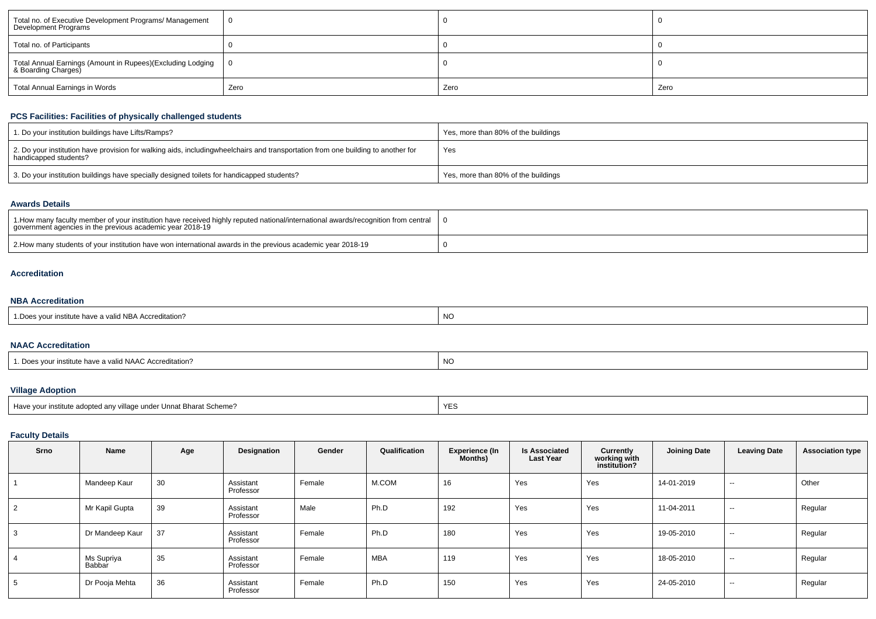| Total no. of Executive Development Programs/ Management<br>Development Programs       | 0    |      |      |
|---------------------------------------------------------------------------------------|------|------|------|
| Total no. of Participants                                                             |      |      |      |
| Total Annual Earnings (Amount in Rupees)(Excluding Lodging   0<br>& Boarding Charges) |      |      |      |
| Total Annual Earnings in Words                                                        | Zero | Zero | Zero |

## **PCS Facilities: Facilities of physically challenged students**

| 1. Do your institution buildings have Lifts/Ramps?                                                                                                        | Yes, more than 80% of the buildings |
|-----------------------------------------------------------------------------------------------------------------------------------------------------------|-------------------------------------|
| 2. Do your institution have provision for walking aids, includingwheelchairs and transportation from one building to another for<br>handicapped students? | Yes                                 |
| 3. Do your institution buildings have specially designed toilets for handicapped students?                                                                | Yes, more than 80% of the buildings |

#### **Awards Details**

| 1. How many faculty member of your institution have received highly reputed national/international awards/recognition from central<br>government agencies in the previous academic year 2018-19 |  |
|-------------------------------------------------------------------------------------------------------------------------------------------------------------------------------------------------|--|
| 2. How many students of your institution have won international awards in the previous academic year 2018-19                                                                                    |  |

### **Accreditation**

## **NBA Accreditation**

| alid NBA Accreditation?<br>e nave a | NC |
|-------------------------------------|----|
|-------------------------------------|----|

#### **NAAC Accreditation**

| 1. Does vour institute have a valid NAAC Accreditation? | NC. |
|---------------------------------------------------------|-----|
|                                                         |     |

# **Village Adoption**

| Have your institute adopted any village under Unnat Bharat Scheme? |  |
|--------------------------------------------------------------------|--|
|                                                                    |  |

## **Faculty Details**

| Srno | Name                 | Age | Designation            | Gender | Qualification | <b>Experience (In</b><br><b>Months)</b> | <b>Is Associated</b><br><b>Last Year</b> | Currently<br>working with<br>institution? | <b>Joining Date</b> | <b>Leaving Date</b>      | <b>Association type</b> |
|------|----------------------|-----|------------------------|--------|---------------|-----------------------------------------|------------------------------------------|-------------------------------------------|---------------------|--------------------------|-------------------------|
|      | Mandeep Kaur         | 30  | Assistant<br>Professor | Female | M.COM         | 16                                      | Yes                                      | Yes                                       | 14-01-2019          | $\sim$                   | Other                   |
| 2    | Mr Kapil Gupta       | 39  | Assistant<br>Professor | Male   | Ph.D          | 192                                     | Yes                                      | Yes                                       | 11-04-2011          | $\sim$                   | Regular                 |
| 3    | Dr Mandeep Kaur      | 37  | Assistant<br>Professor | Female | Ph.D          | 180                                     | Yes                                      | Yes                                       | 19-05-2010          | $\sim$                   | Regular                 |
| 4    | Ms Supriya<br>Babbar | 35  | Assistant<br>Professor | Female | <b>MBA</b>    | 119                                     | Yes                                      | Yes                                       | 18-05-2010          | $\overline{\phantom{a}}$ | Regular                 |
| 5    | Dr Pooja Mehta       | 36  | Assistant<br>Professor | Female | Ph.D          | 150                                     | Yes                                      | Yes                                       | 24-05-2010          | $\sim$                   | Regular                 |